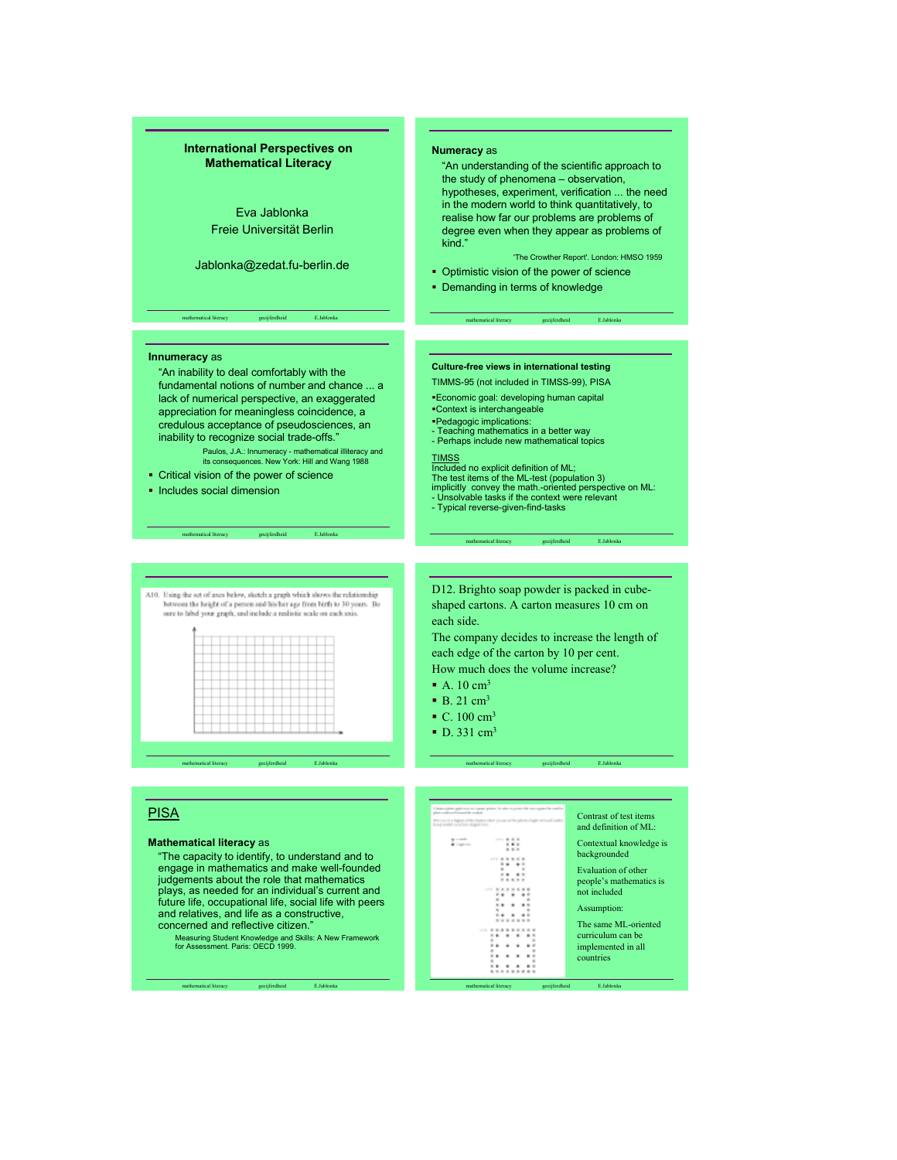# International Perspectives on Mathematical Literacy

Eva Jablonka Freie Universität Berlin

Jablonka@zedat.fu-berlin.de

mathematical literacy gecijferdheid E.Jablonka

### Numeracy as

"An understanding of the scientific approach to the study of phenomena – observation, hypotheses, experiment, verification ... the need in the modern world to think quantitatively, to realise how far our problems are problems of degree even when they appear as problems of kind."

'The Crowther Report'. London: HMSO 1959

• Optimistic vision of the power of science

mathematical literacy gecijferdheid E.Jablonka

• Demanding in terms of knowledge

#### Innumeracy as

"An inability to deal comfortably with the fundamental notions of number and chance ... a lack of numerical perspective, an exaggerated appreciation for meaningless coincidence, a credulous acceptance of pseudosciences, an inability to recognize social trade-offs."

Paulos, J.A.: Innumeracy - mathematical illiteracy and its consequences. New York: Hill and Wang 1988

**• Critical vision of the power of science** 

mathematical literacy gecijferdheid E.Jablonka

**Includes social dimension** 

#### A10. Using the set of axes below, sketch a graph which shows the relationship between the height of a person and his her age from birth to 30 years. Be sure to label your graph, and include a realistic scale on each axis.

|  |    |   |    |           | .                         |  |  |  |  |
|--|----|---|----|-----------|---------------------------|--|--|--|--|
|  |    |   |    |           | .                         |  |  |  |  |
|  |    |   |    |           | .                         |  |  |  |  |
|  |    |   |    |           | .                         |  |  |  |  |
|  |    |   |    |           |                           |  |  |  |  |
|  |    |   |    |           | _________________________ |  |  |  |  |
|  |    |   |    |           | .                         |  |  |  |  |
|  |    |   |    |           | .                         |  |  |  |  |
|  |    |   |    | _________ | _________                 |  |  |  |  |
|  |    |   |    |           | .                         |  |  |  |  |
|  | -- | - | -- |           |                           |  |  |  |  |

mathematical literacy gecijferdheid E.Jablonka mathematical literacy gecijferdheid E.Jablonka

# **PISA**

#### Mathematical literacy as

"The capacity to identify, to understand and to engage in mathematics and make well-founded judgements about the role that mathematics plays, as needed for an individual's current and future life, occupational life, social life with peers and relatives, and life as a constructive, concerned and reflective citizen."

Measuring Student Knowledge and Skills: A New Framework for Assessment. Paris: OECD 1999.

mathematical literacy gecijferdheid E.Jablonka

#### Culture-free views in international testing

- TIMMS-95 (not included in TIMSS-99), PISA
- Economic goal: developing human capital
- Context is interchangeable Pedagogic implications:
- Teaching mathematics in a better way - Perhaps include new mathematical topics
- 

- TIMSS Included no explicit definition of ML;
- The test items of the ML-test (population 3) implicitly convey the math.-oriented perspective on ML: Unsolvable tasks if the context were relevant
- 
- Typical reverse-given-find-tasks

D12. Brighto soap powder is packed in cubeshaped cartons. A carton measures 10 cm on each side.

mathematical literacy gecijferdheid E.Jablonka

The company decides to increase the length of each edge of the carton by 10 per cent.

How much does the volume increase?

- A.  $10 \text{ cm}^3$
- $\bullet$  B. 21 cm<sup>3</sup>
- $^{\circ}$  C. 100 cm<sup>3</sup>
- $\bullet$  D. 331 cm<sup>3</sup>

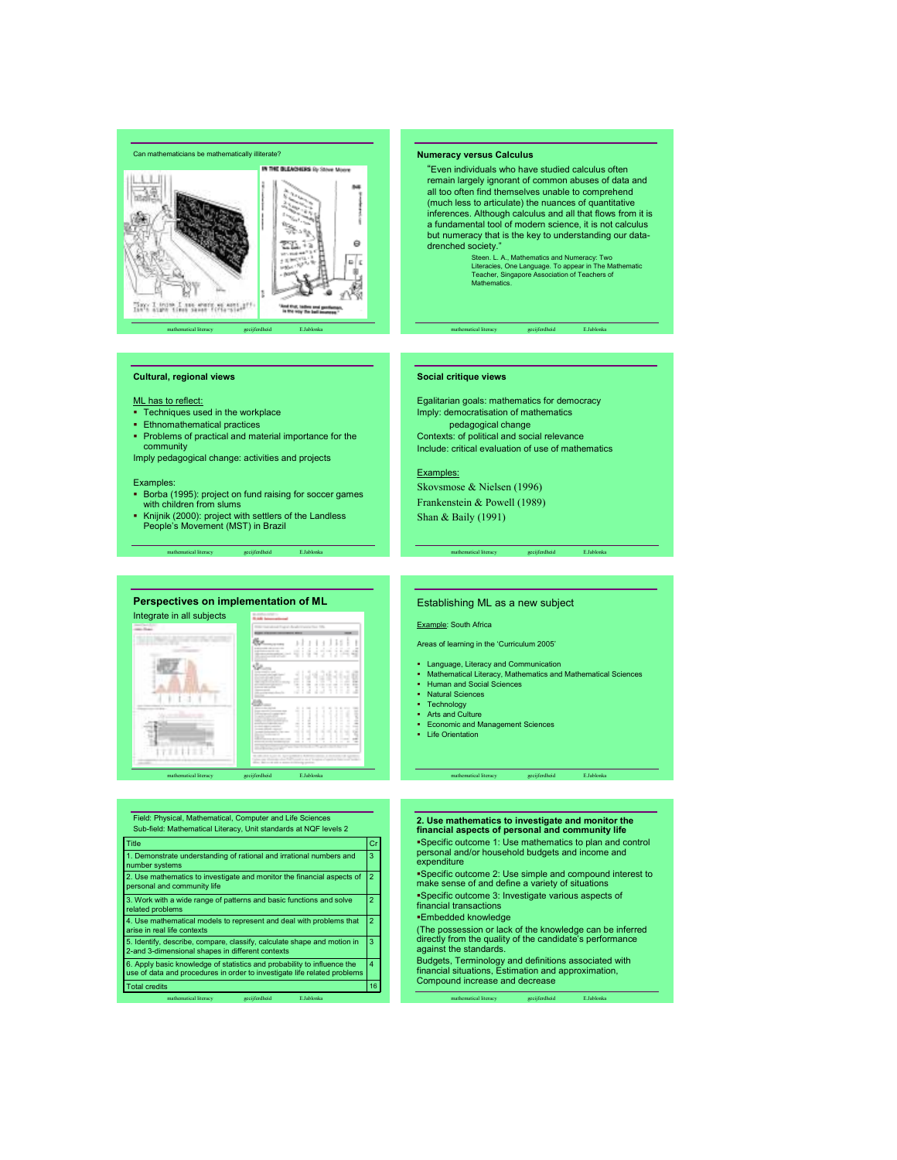



# Cultural, regional views

# ML has to reflect:

- Techniques used in the workplace
- Ethnomathematical practices
- Problems of practical and material importance for the community

Imply pedagogical change: activities and projects

#### Examples:

- **Borba (1995): project on fund raising for soccer games** with children from slums
- Knijnik (2000): project with settlers of the Landless People's Movement (MST) in Brazil

mathematical literacy gecijferdheid E.Jablonka

#### Numeracy versus Calculus

- "Even individuals who have studied calculus often remain largely ignorant of common abuses of data and all too often find themselves unable to comprehend (much less to articulate) the nuances of quantitative inferences. Although calculus and all that flows from it is a fundamental tool of modern science, it is not calculus but numeracy that is the key to understanding our datadrenched society."
	- Steen. L. A., Mathematics and Numeracy: Two Literacies, One Language. To appear in The Mathematic Teacher, Singapore Association of Teachers of Mathematics.

#### mathematical literacy gecijferdheid E.Jablonka

#### Social critique views

Egalitarian goals: mathematics for democracy Imply: democratisation of mathematics pedagogical change Contexts: of political and social relevance Include: critical evaluation of use of mathematics

#### Examples:

Skovsmose & Nielsen (1996) Frankenstein & Powell (1989) Shan & Baily (1991)

# Perspectives on implementation of ML Integrate in all subjects 瓶儿 **WEBSTER**

mathematical literacy gecijferdheid E.Jablonka

# mathematical literacy gecijferdheid E.Jablonka Field: Physical, Mathematical, Computer and Life Sciences Sub-field: Mathematical Literacy, Unit standards at NQF levels 2 Total credit 6. Apply basic knowledge of statistics and probability to influence the 4 use of data and procedures in order to investigate life related problems 5. Identify, describe, compare, classify, calculate shape and motion in 3 2-and 3-dimensional shapes in different contexts 4. Use mathematical models to represent and deal with problems that  $\boxed{2}$ rise in real life contexts 3. Work with a wide range of patterns and basic functions and solve 2 **elated problems** 2. Use mathematics to investigate and monitor the financial aspects of  $\vert 2$ 1. Demonstrate understanding of rational and irrational numbers and 3 number systems Title in the contract of the critical contract of the critical contract  $\vert$  Cr

## Establishing ML as a new subject

Example: South Africa

Areas of learning in the 'Curriculum 2005'

- Language, Literacy and Communication Mathematical Literacy, Mathematics and Mathematical Sciences
- Human and Social Sciences

mathematical literacy gecijferdheid E.Jablonka

- **Natural Sciences**
- Technology
- Arts and Culture
- Arts and Culture<br>■ Economic and Management Sciences
- **-** Life Orientation

# 2. Use mathematics to investigate and monitor the

mathematical literacy gecijferdheid E.Jablonka

financial aspects of personal and community life Specific outcome 1: Use mathematics to plan and control personal and/or household budgets and income and expenditure

Specific outcome 2: Use simple and compound interest to make sense of and define a variety of situations

- Specific outcome 3: Investigate various aspects of financial transactions
- Embedded knowledge

(The possession or lack of the knowledge can be inferred directly from the quality of the candidate's performance against the standards.

Budgets, Terminology and definitions associated with financial situations, Estimation and approximation, Compound increase and decrease

mathematical literacy gecijferdheid E.Jablonka